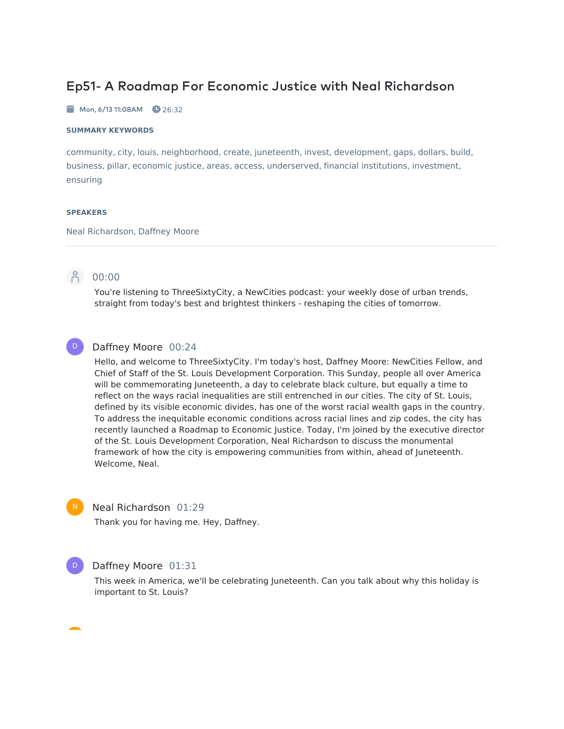# Ep51- A Roadmap For Economic Justice with Neal Richardson

 $\blacksquare$  Mon, 6/13 11:08AM  $\blacksquare$  26:32

#### **SUMMARY KEYWORDS**

community, city, louis, neighborhood, create, juneteenth, invest, development, gaps, dollars, build, business, pillar, economic justice, areas, access, underserved, financial institutions, investment, ensuring

#### **SPEAKERS**

Neal Richardson, Daffney Moore



D

## 00:00

You're listening to ThreeSixtyCity, a NewCities podcast: your weekly dose of urban trends, straight from today's best and brightest thinkers - reshaping the cities of tomorrow.

## Daffney Moore 00:24

Hello, and welcome to ThreeSixtyCity. I'm today's host, Daffney Moore: NewCities Fellow, and Chief of Staff of the St. Louis Development Corporation. This Sunday, people all over America will be commemorating Juneteenth, a day to celebrate black culture, but equally a time to reflect on the ways racial inequalities are still entrenched in our cities. The city of St. Louis, defined by its visible economic divides, has one of the worst racial wealth gaps in the country. To address the inequitable economic conditions across racial lines and zip codes, the city has recently launched a Roadmap to Economic Justice. Today, I'm joined by the executive director of the St. Louis Development Corporation, Neal Richardson to discuss the monumental framework of how the city is empowering communities from within, ahead of Juneteenth. Welcome, Neal.



### Neal Richardson 01:29

Thank you for having me. Hey, Daffney.



## Daffney Moore 01:31

This week in America, we'll be celebrating Juneteenth. Can you talk about why this holiday is important to St. Louis?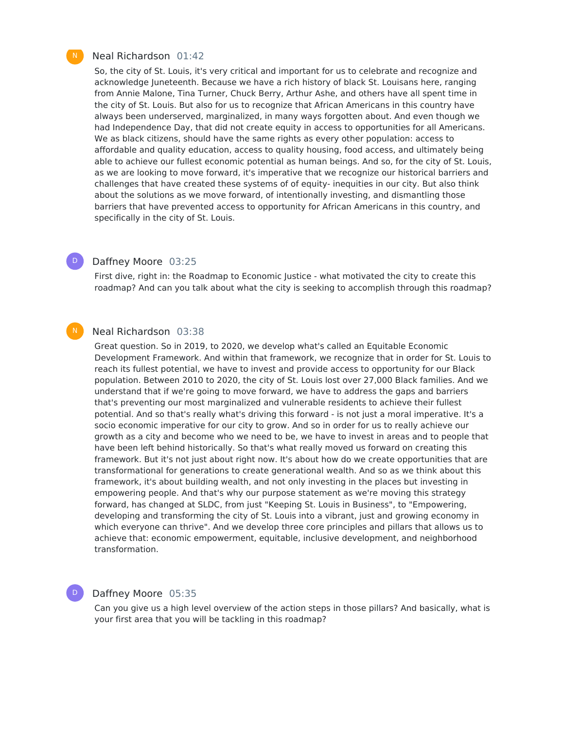### Neal Richardson 01:42

So, the city of St. Louis, it's very critical and important for us to celebrate and recognize and acknowledge Juneteenth. Because we have a rich history of black St. Louisans here, ranging from Annie Malone, Tina Turner, Chuck Berry, Arthur Ashe, and others have all spent time in the city of St. Louis. But also for us to recognize that African Americans in this country have always been underserved, marginalized, in many ways forgotten about. And even though we had Independence Day, that did not create equity in access to opportunities for all Americans. We as black citizens, should have the same rights as every other population: access to affordable and quality education, access to quality housing, food access, and ultimately being able to achieve our fullest economic potential as human beings. And so, for the city of St. Louis, as we are looking to move forward, it's imperative that we recognize our historical barriers and challenges that have created these systems of of equity- inequities in our city. But also think about the solutions as we move forward, of intentionally investing, and dismantling those barriers that have prevented access to opportunity for African Americans in this country, and specifically in the city of St. Louis.

## Daffney Moore 03:25

First dive, right in: the Roadmap to Economic Justice - what motivated the city to create this roadmap? And can you talk about what the city is seeking to accomplish through this roadmap?

#### Neal Richardson 03:38  $\mathsf{N}^-$

Great question. So in 2019, to 2020, we develop what's called an Equitable Economic Development Framework. And within that framework, we recognize that in order for St. Louis to reach its fullest potential, we have to invest and provide access to opportunity for our Black population. Between 2010 to 2020, the city of St. Louis lost over 27,000 Black families. And we understand that if we're going to move forward, we have to address the gaps and barriers that's preventing our most marginalized and vulnerable residents to achieve their fullest potential. And so that's really what's driving this forward - is not just a moral imperative. It's a socio economic imperative for our city to grow. And so in order for us to really achieve our growth as a city and become who we need to be, we have to invest in areas and to people that have been left behind historically. So that's what really moved us forward on creating this framework. But it's not just about right now. It's about how do we create opportunities that are transformational for generations to create generational wealth. And so as we think about this framework, it's about building wealth, and not only investing in the places but investing in empowering people. And that's why our purpose statement as we're moving this strategy forward, has changed at SLDC, from just "Keeping St. Louis in Business", to "Empowering, developing and transforming the city of St. Louis into a vibrant, just and growing economy in which everyone can thrive". And we develop three core principles and pillars that allows us to achieve that: economic empowerment, equitable, inclusive development, and neighborhood transformation.

## Daffney Moore 05:35

D

Can you give us a high level overview of the action steps in those pillars? And basically, what is your first area that you will be tackling in this roadmap?



 $D$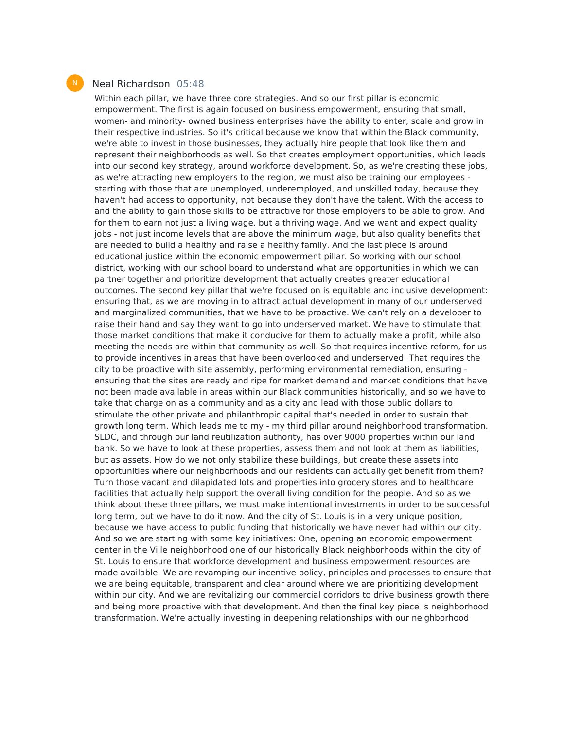#### Neal Richardson 05:48

Within each pillar, we have three core strategies. And so our first pillar is economic empowerment. The first is again focused on business empowerment, ensuring that small, women- and minority- owned business enterprises have the ability to enter, scale and grow in their respective industries. So it's critical because we know that within the Black community, we're able to invest in those businesses, they actually hire people that look like them and represent their neighborhoods as well. So that creates employment opportunities, which leads into our second key strategy, around workforce development. So, as we're creating these jobs, as we're attracting new employers to the region, we must also be training our employees starting with those that are unemployed, underemployed, and unskilled today, because they haven't had access to opportunity, not because they don't have the talent. With the access to and the ability to gain those skills to be attractive for those employers to be able to grow. And for them to earn not just a living wage, but a thriving wage. And we want and expect quality jobs - not just income levels that are above the minimum wage, but also quality benefits that are needed to build a healthy and raise a healthy family. And the last piece is around educational justice within the economic empowerment pillar. So working with our school district, working with our school board to understand what are opportunities in which we can partner together and prioritize development that actually creates greater educational outcomes. The second key pillar that we're focused on is equitable and inclusive development: ensuring that, as we are moving in to attract actual development in many of our underserved and marginalized communities, that we have to be proactive. We can't rely on a developer to raise their hand and say they want to go into underserved market. We have to stimulate that those market conditions that make it conducive for them to actually make a profit, while also meeting the needs are within that community as well. So that requires incentive reform, for us to provide incentives in areas that have been overlooked and underserved. That requires the city to be proactive with site assembly, performing environmental remediation, ensuring ensuring that the sites are ready and ripe for market demand and market conditions that have not been made available in areas within our Black communities historically, and so we have to take that charge on as a community and as a city and lead with those public dollars to stimulate the other private and philanthropic capital that's needed in order to sustain that growth long term. Which leads me to my - my third pillar around neighborhood transformation. SLDC, and through our land reutilization authority, has over 9000 properties within our land bank. So we have to look at these properties, assess them and not look at them as liabilities, but as assets. How do we not only stabilize these buildings, but create these assets into opportunities where our neighborhoods and our residents can actually get benefit from them? Turn those vacant and dilapidated lots and properties into grocery stores and to healthcare facilities that actually help support the overall living condition for the people. And so as we think about these three pillars, we must make intentional investments in order to be successful long term, but we have to do it now. And the city of St. Louis is in a very unique position, because we have access to public funding that historically we have never had within our city. And so we are starting with some key initiatives: One, opening an economic empowerment center in the Ville neighborhood one of our historically Black neighborhoods within the city of St. Louis to ensure that workforce development and business empowerment resources are made available. We are revamping our incentive policy, principles and processes to ensure that we are being equitable, transparent and clear around where we are prioritizing development within our city. And we are revitalizing our commercial corridors to drive business growth there and being more proactive with that development. And then the final key piece is neighborhood transformation. We're actually investing in deepening relationships with our neighborhood

N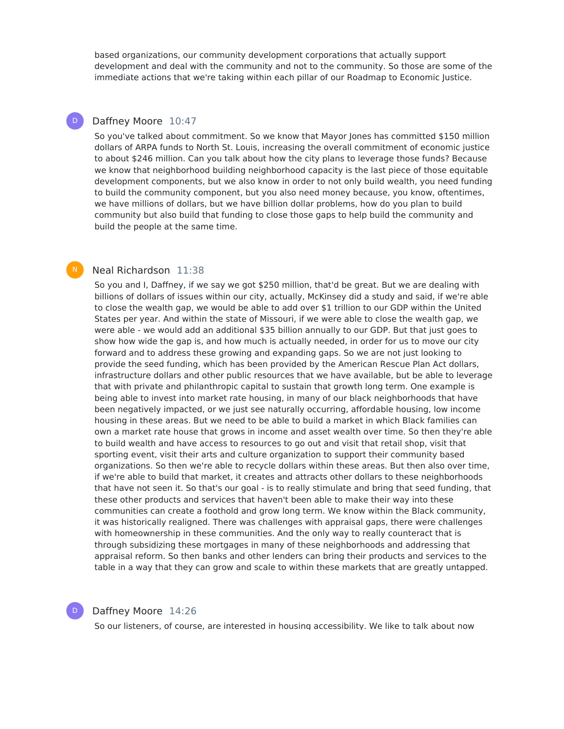based organizations, our community development corporations that actually support development and deal with the community and not to the community. So those are some of the immediate actions that we're taking within each pillar of our Roadmap to Economic Justice.

## Daffney Moore 10:47

 $\mathsf{D}^-$ 

So you've talked about commitment. So we know that Mayor Jones has committed \$150 million dollars of ARPA funds to North St. Louis, increasing the overall commitment of economic justice to about \$246 million. Can you talk about how the city plans to leverage those funds? Because we know that neighborhood building neighborhood capacity is the last piece of those equitable development components, but we also know in order to not only build wealth, you need funding to build the community component, but you also need money because, you know, oftentimes, we have millions of dollars, but we have billion dollar problems, how do you plan to build community but also build that funding to close those gaps to help build the community and build the people at the same time.

#### Neal Richardson 11:38  $\mathsf{N}^-$

So you and I, Daffney, if we say we got \$250 million, that'd be great. But we are dealing with billions of dollars of issues within our city, actually, McKinsey did a study and said, if we're able to close the wealth gap, we would be able to add over \$1 trillion to our GDP within the United States per year. And within the state of Missouri, if we were able to close the wealth gap, we were able - we would add an additional \$35 billion annually to our GDP. But that just goes to show how wide the gap is, and how much is actually needed, in order for us to move our city forward and to address these growing and expanding gaps. So we are not just looking to provide the seed funding, which has been provided by the American Rescue Plan Act dollars, infrastructure dollars and other public resources that we have available, but be able to leverage that with private and philanthropic capital to sustain that growth long term. One example is being able to invest into market rate housing, in many of our black neighborhoods that have been negatively impacted, or we just see naturally occurring, affordable housing, low income housing in these areas. But we need to be able to build a market in which Black families can own a market rate house that grows in income and asset wealth over time. So then they're able to build wealth and have access to resources to go out and visit that retail shop, visit that sporting event, visit their arts and culture organization to support their community based organizations. So then we're able to recycle dollars within these areas. But then also over time, if we're able to build that market, it creates and attracts other dollars to these neighborhoods that have not seen it. So that's our goal - is to really stimulate and bring that seed funding, that these other products and services that haven't been able to make their way into these communities can create a foothold and grow long term. We know within the Black community, it was historically realigned. There was challenges with appraisal gaps, there were challenges with homeownership in these communities. And the only way to really counteract that is through subsidizing these mortgages in many of these neighborhoods and addressing that appraisal reform. So then banks and other lenders can bring their products and services to the table in a way that they can grow and scale to within these markets that are greatly untapped.

#### Daffney Moore 14:26

D

So our listeners, of course, are interested in housing accessibility. We like to talk about now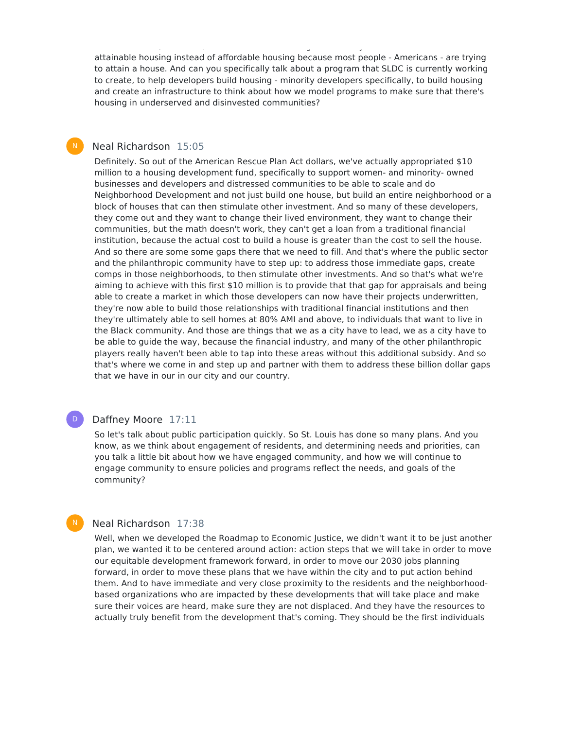attainable housing instead of affordable housing because most people - Americans - are trying to attain a house. And can you specifically talk about a program that SLDC is currently working to create, to help developers build housing - minority developers specifically, to build housing and create an infrastructure to think about how we model programs to make sure that there's housing in underserved and disinvested communities?

So our listeners, of course, are interested in housing accessibility. We like to talk about now

#### Neal Richardson 15:05  $N_{\odot}$

Definitely. So out of the American Rescue Plan Act dollars, we've actually appropriated \$10 million to a housing development fund, specifically to support women- and minority- owned businesses and developers and distressed communities to be able to scale and do Neighborhood Development and not just build one house, but build an entire neighborhood or a block of houses that can then stimulate other investment. And so many of these developers, they come out and they want to change their lived environment, they want to change their communities, but the math doesn't work, they can't get a loan from a traditional financial institution, because the actual cost to build a house is greater than the cost to sell the house. And so there are some some gaps there that we need to fill. And that's where the public sector and the philanthropic community have to step up: to address those immediate gaps, create comps in those neighborhoods, to then stimulate other investments. And so that's what we're aiming to achieve with this first \$10 million is to provide that that gap for appraisals and being able to create a market in which those developers can now have their projects underwritten, they're now able to build those relationships with traditional financial institutions and then they're ultimately able to sell homes at 80% AMI and above, to individuals that want to live in the Black community. And those are things that we as a city have to lead, we as a city have to be able to guide the way, because the financial industry, and many of the other philanthropic players really haven't been able to tap into these areas without this additional subsidy. And so that's where we come in and step up and partner with them to address these billion dollar gaps that we have in our in our city and our country.

#### Daffney Moore 17:11  $\mathsf{D}^-$

So let's talk about public participation quickly. So St. Louis has done so many plans. And you know, as we think about engagement of residents, and determining needs and priorities, can you talk a little bit about how we have engaged community, and how we will continue to engage community to ensure policies and programs reflect the needs, and goals of the community?

## Neal Richardson 17:38

N

Well, when we developed the Roadmap to Economic Justice, we didn't want it to be just another plan, we wanted it to be centered around action: action steps that we will take in order to move our equitable development framework forward, in order to move our 2030 jobs planning forward, in order to move these plans that we have within the city and to put action behind them. And to have immediate and very close proximity to the residents and the neighborhoodbased organizations who are impacted by these developments that will take place and make sure their voices are heard, make sure they are not displaced. And they have the resources to actually truly benefit from the development that's coming. They should be the first individuals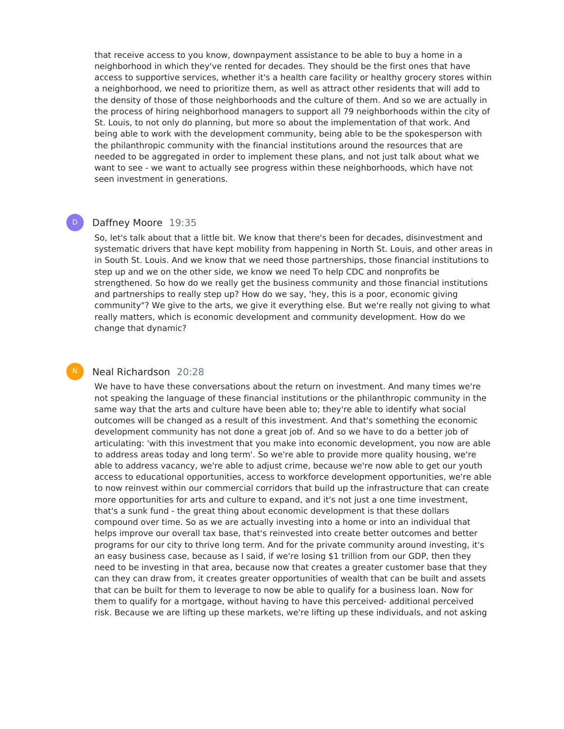that receive access to you know, downpayment assistance to be able to buy a home in a neighborhood in which they've rented for decades. They should be the first ones that have access to supportive services, whether it's a health care facility or healthy grocery stores within a neighborhood, we need to prioritize them, as well as attract other residents that will add to the density of those of those neighborhoods and the culture of them. And so we are actually in the process of hiring neighborhood managers to support all 79 neighborhoods within the city of St. Louis, to not only do planning, but more so about the implementation of that work. And being able to work with the development community, being able to be the spokesperson with the philanthropic community with the financial institutions around the resources that are needed to be aggregated in order to implement these plans, and not just talk about what we want to see - we want to actually see progress within these neighborhoods, which have not seen investment in generations.

#### Daffney Moore 19:35  $\mathsf{D}^-$

So, let's talk about that a little bit. We know that there's been for decades, disinvestment and systematic drivers that have kept mobility from happening in North St. Louis, and other areas in in South St. Louis. And we know that we need those partnerships, those financial institutions to step up and we on the other side, we know we need To help CDC and nonprofits be strengthened. So how do we really get the business community and those financial institutions and partnerships to really step up? How do we say, 'hey, this is a poor, economic giving community"? We give to the arts, we give it everything else. But we're really not giving to what really matters, which is economic development and community development. How do we change that dynamic?

## Neal Richardson 20:28

N

We have to have these conversations about the return on investment. And many times we're not speaking the language of these financial institutions or the philanthropic community in the same way that the arts and culture have been able to; they're able to identify what social outcomes will be changed as a result of this investment. And that's something the economic development community has not done a great job of. And so we have to do a better job of articulating: 'with this investment that you make into economic development, you now are able to address areas today and long term'. So we're able to provide more quality housing, we're able to address vacancy, we're able to adjust crime, because we're now able to get our youth access to educational opportunities, access to workforce development opportunities, we're able to now reinvest within our commercial corridors that build up the infrastructure that can create more opportunities for arts and culture to expand, and it's not just a one time investment, that's a sunk fund - the great thing about economic development is that these dollars compound over time. So as we are actually investing into a home or into an individual that helps improve our overall tax base, that's reinvested into create better outcomes and better programs for our city to thrive long term. And for the private community around investing, it's an easy business case, because as I said, if we're losing \$1 trillion from our GDP, then they need to be investing in that area, because now that creates a greater customer base that they can they can draw from, it creates greater opportunities of wealth that can be built and assets that can be built for them to leverage to now be able to qualify for a business loan. Now for them to qualify for a mortgage, without having to have this perceived- additional perceived risk. Because we are lifting up these markets, we're lifting up these individuals, and not asking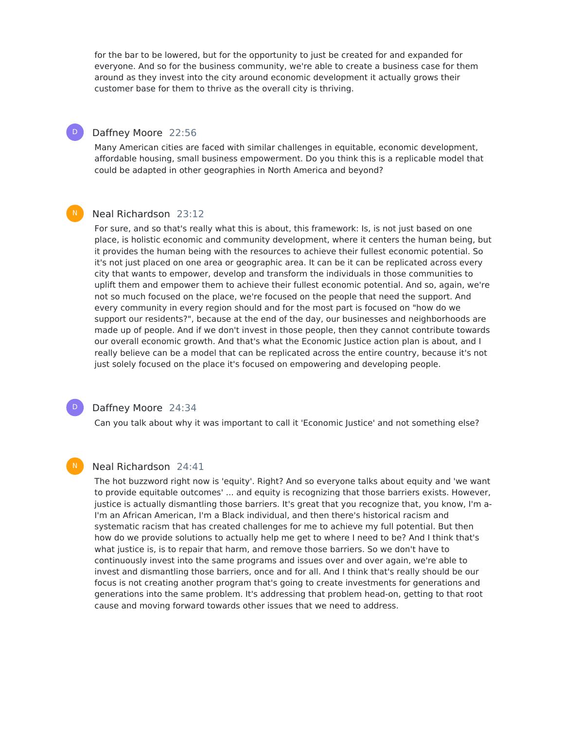for the bar to be lowered, but for the opportunity to just be created for and expanded for everyone. And so for the business community, we're able to create a business case for them around as they invest into the city around economic development it actually grows their customer base for them to thrive as the overall city is thriving.

#### Daffney Moore 22:56  $\mathsf{D}^-$

Many American cities are faced with similar challenges in equitable, economic development, affordable housing, small business empowerment. Do you think this is a replicable model that could be adapted in other geographies in North America and beyond?

## Neal Richardson 23:12

For sure, and so that's really what this is about, this framework: Is, is not just based on one place, is holistic economic and community development, where it centers the human being, but it provides the human being with the resources to achieve their fullest economic potential. So it's not just placed on one area or geographic area. It can be it can be replicated across every city that wants to empower, develop and transform the individuals in those communities to uplift them and empower them to achieve their fullest economic potential. And so, again, we're not so much focused on the place, we're focused on the people that need the support. And every community in every region should and for the most part is focused on "how do we support our residents?", because at the end of the day, our businesses and neighborhoods are made up of people. And if we don't invest in those people, then they cannot contribute towards our overall economic growth. And that's what the Economic Justice action plan is about, and I really believe can be a model that can be replicated across the entire country, because it's not just solely focused on the place it's focused on empowering and developing people.

### $\mathsf{D}^-$

N

 $N_{\odot}$ 

### Daffney Moore 24:34

Can you talk about why it was important to call it 'Economic Justice' and not something else?

### Neal Richardson 24:41

The hot buzzword right now is 'equity'. Right? And so everyone talks about equity and 'we want to provide equitable outcomes' ... and equity is recognizing that those barriers exists. However, justice is actually dismantling those barriers. It's great that you recognize that, you know, I'm a-I'm an African American, I'm a Black individual, and then there's historical racism and systematic racism that has created challenges for me to achieve my full potential. But then how do we provide solutions to actually help me get to where I need to be? And I think that's what justice is, is to repair that harm, and remove those barriers. So we don't have to continuously invest into the same programs and issues over and over again, we're able to invest and dismantling those barriers, once and for all. And I think that's really should be our focus is not creating another program that's going to create investments for generations and generations into the same problem. It's addressing that problem head-on, getting to that root cause and moving forward towards other issues that we need to address.